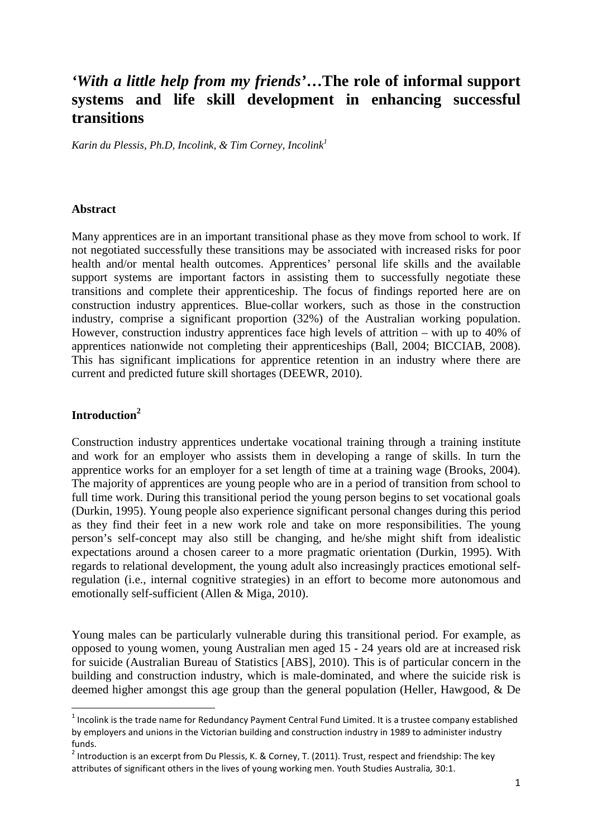# *'With a little help from my friends'***…The role of informal support systems and life skill development in enhancing successful transitions**

*Karin du Plessis, Ph.D, Incolink, & Tim Corney, Incolink<sup>1</sup>*

#### **Abstract**

Many apprentices are in an important transitional phase as they move from school to work. If not negotiated successfully these transitions may be associated with increased risks for poor health and/or mental health outcomes. Apprentices' personal life skills and the available support systems are important factors in assisting them to successfully negotiate these transitions and complete their apprenticeship. The focus of findings reported here are on construction industry apprentices. Blue-collar workers, such as those in the construction industry, comprise a significant proportion (32%) of the Australian working population. However, construction industry apprentices face high levels of attrition – with up to 40% of apprentices nationwide not completing their apprenticeships (Ball, 2004; BICCIAB, 2008). This has significant implications for apprentice retention in an industry where there are current and predicted future skill shortages (DEEWR, 2010).

# **Introduction<sup>2</sup>**

 $\overline{a}$ 

Construction industry apprentices undertake vocational training through a training institute and work for an employer who assists them in developing a range of skills. In turn the apprentice works for an employer for a set length of time at a training wage (Brooks, 2004). The majority of apprentices are young people who are in a period of transition from school to full time work. During this transitional period the young person begins to set vocational goals (Durkin, 1995). Young people also experience significant personal changes during this period as they find their feet in a new work role and take on more responsibilities. The young person's self-concept may also still be changing, and he/she might shift from idealistic expectations around a chosen career to a more pragmatic orientation (Durkin, 1995). With regards to relational development, the young adult also increasingly practices emotional selfregulation (i.e., internal cognitive strategies) in an effort to become more autonomous and emotionally self-sufficient (Allen & Miga, 2010).

Young males can be particularly vulnerable during this transitional period. For example, as opposed to young women, young Australian men aged 15 - 24 years old are at increased risk for suicide (Australian Bureau of Statistics [ABS], 2010). This is of particular concern in the building and construction industry, which is male-dominated, and where the suicide risk is deemed higher amongst this age group than the general population (Heller, Hawgood, & De

<sup>&</sup>lt;sup>1</sup> Incolink is the trade name for Redundancy Payment Central Fund Limited. It is a trustee company established by employers and unions in the Victorian building and construction industry in 1989 to administer industry funds.

 $^2$  Introduction is an excerpt from Du Plessis, K. & Corney, T. (2011). Trust, respect and friendship: The key attributes of significant others in the lives of young working men. Youth Studies Australia, 30:1.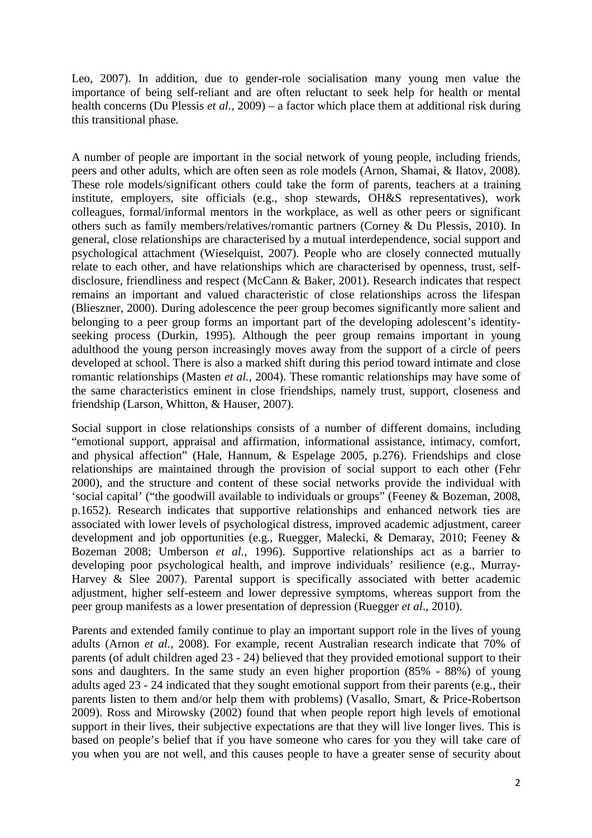Leo, 2007). In addition, due to gender-role socialisation many young men value the importance of being self-reliant and are often reluctant to seek help for health or mental health concerns (Du Plessis *et al.,* 2009) – a factor which place them at additional risk during this transitional phase.

A number of people are important in the social network of young people, including friends, peers and other adults, which are often seen as role models (Arnon, Shamai, & Ilatov, 2008). These role models/significant others could take the form of parents, teachers at a training institute, employers, site officials (e.g., shop stewards, OH&S representatives), work colleagues, formal/informal mentors in the workplace, as well as other peers or significant others such as family members/relatives/romantic partners (Corney & Du Plessis, 2010). In general, close relationships are characterised by a mutual interdependence, social support and psychological attachment (Wieselquist, 2007). People who are closely connected mutually relate to each other, and have relationships which are characterised by openness, trust, selfdisclosure, friendliness and respect (McCann & Baker, 2001). Research indicates that respect remains an important and valued characteristic of close relationships across the lifespan (Blieszner, 2000). During adolescence the peer group becomes significantly more salient and belonging to a peer group forms an important part of the developing adolescent's identityseeking process (Durkin, 1995). Although the peer group remains important in young adulthood the young person increasingly moves away from the support of a circle of peers developed at school. There is also a marked shift during this period toward intimate and close romantic relationships (Masten *et al.,* 2004). These romantic relationships may have some of the same characteristics eminent in close friendships, namely trust, support, closeness and friendship (Larson, Whitton, & Hauser, 2007).

Social support in close relationships consists of a number of different domains, including "emotional support, appraisal and affirmation, informational assistance, intimacy, comfort, and physical affection" (Hale, Hannum, & Espelage 2005, p.276). Friendships and close relationships are maintained through the provision of social support to each other (Fehr 2000), and the structure and content of these social networks provide the individual with 'social capital' ("the goodwill available to individuals or groups" (Feeney & Bozeman, 2008, p.1652). Research indicates that supportive relationships and enhanced network ties are associated with lower levels of psychological distress, improved academic adjustment, career development and job opportunities (e.g., Ruegger, Malecki, & Demaray, 2010; Feeney & Bozeman 2008; Umberson *et al.,* 1996). Supportive relationships act as a barrier to developing poor psychological health, and improve individuals' resilience (e.g., Murray-Harvey & Slee 2007). Parental support is specifically associated with better academic adjustment, higher self-esteem and lower depressive symptoms, whereas support from the peer group manifests as a lower presentation of depression (Ruegger *et al*., 2010).

Parents and extended family continue to play an important support role in the lives of young adults (Arnon *et al.,* 2008). For example, recent Australian research indicate that 70% of parents (of adult children aged 23 - 24) believed that they provided emotional support to their sons and daughters. In the same study an even higher proportion (85% - 88%) of young adults aged 23 - 24 indicated that they sought emotional support from their parents (e.g., their parents listen to them and/or help them with problems) (Vasallo, Smart, & Price-Robertson 2009). Ross and Mirowsky (2002) found that when people report high levels of emotional support in their lives, their subjective expectations are that they will live longer lives. This is based on people's belief that if you have someone who cares for you they will take care of you when you are not well, and this causes people to have a greater sense of security about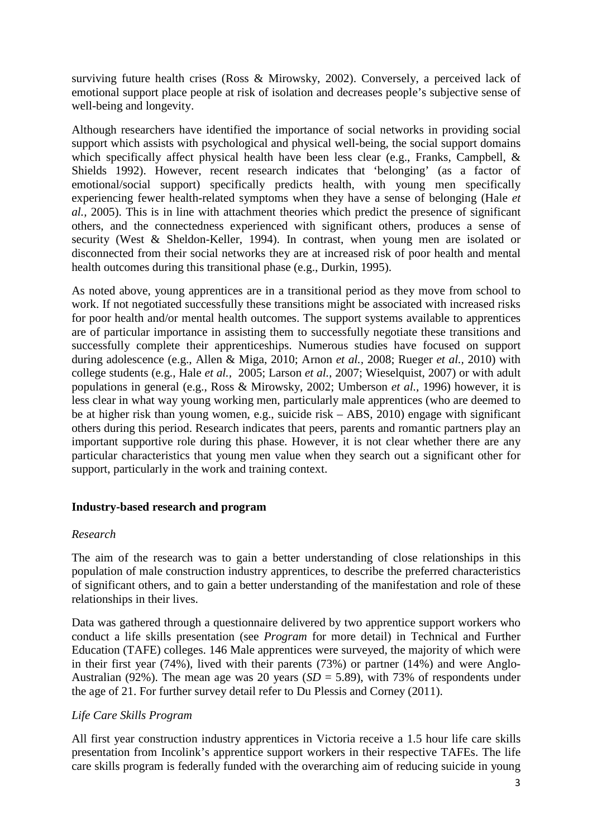surviving future health crises (Ross & Mirowsky, 2002). Conversely, a perceived lack of emotional support place people at risk of isolation and decreases people's subjective sense of well-being and longevity.

Although researchers have identified the importance of social networks in providing social support which assists with psychological and physical well-being, the social support domains which specifically affect physical health have been less clear (e.g., Franks, Campbell, & Shields 1992). However, recent research indicates that 'belonging' (as a factor of emotional/social support) specifically predicts health, with young men specifically experiencing fewer health-related symptoms when they have a sense of belonging (Hale *et al.,* 2005). This is in line with attachment theories which predict the presence of significant others, and the connectedness experienced with significant others, produces a sense of security (West & Sheldon-Keller, 1994). In contrast, when young men are isolated or disconnected from their social networks they are at increased risk of poor health and mental health outcomes during this transitional phase (e.g., Durkin, 1995).

As noted above, young apprentices are in a transitional period as they move from school to work. If not negotiated successfully these transitions might be associated with increased risks for poor health and/or mental health outcomes. The support systems available to apprentices are of particular importance in assisting them to successfully negotiate these transitions and successfully complete their apprenticeships. Numerous studies have focused on support during adolescence (e.g., Allen & Miga, 2010; Arnon *et al.,* 2008; Rueger *et al.,* 2010) with college students (e.g., Hale *et al.,* 2005; Larson *et al.,* 2007; Wieselquist, 2007) or with adult populations in general (e.g., Ross & Mirowsky, 2002; Umberson *et al.,* 1996) however, it is less clear in what way young working men, particularly male apprentices (who are deemed to be at higher risk than young women, e.g., suicide risk – ABS, 2010) engage with significant others during this period. Research indicates that peers, parents and romantic partners play an important supportive role during this phase. However, it is not clear whether there are any particular characteristics that young men value when they search out a significant other for support, particularly in the work and training context.

## **Industry-based research and program**

## *Research*

The aim of the research was to gain a better understanding of close relationships in this population of male construction industry apprentices, to describe the preferred characteristics of significant others, and to gain a better understanding of the manifestation and role of these relationships in their lives.

Data was gathered through a questionnaire delivered by two apprentice support workers who conduct a life skills presentation (see *Program* for more detail) in Technical and Further Education (TAFE) colleges. 146 Male apprentices were surveyed, the majority of which were in their first year (74%), lived with their parents (73%) or partner (14%) and were Anglo-Australian (92%). The mean age was 20 years (*SD* = 5.89), with 73% of respondents under the age of 21. For further survey detail refer to Du Plessis and Corney (2011).

# *Life Care Skills Program*

All first year construction industry apprentices in Victoria receive a 1.5 hour life care skills presentation from Incolink's apprentice support workers in their respective TAFEs. The life care skills program is federally funded with the overarching aim of reducing suicide in young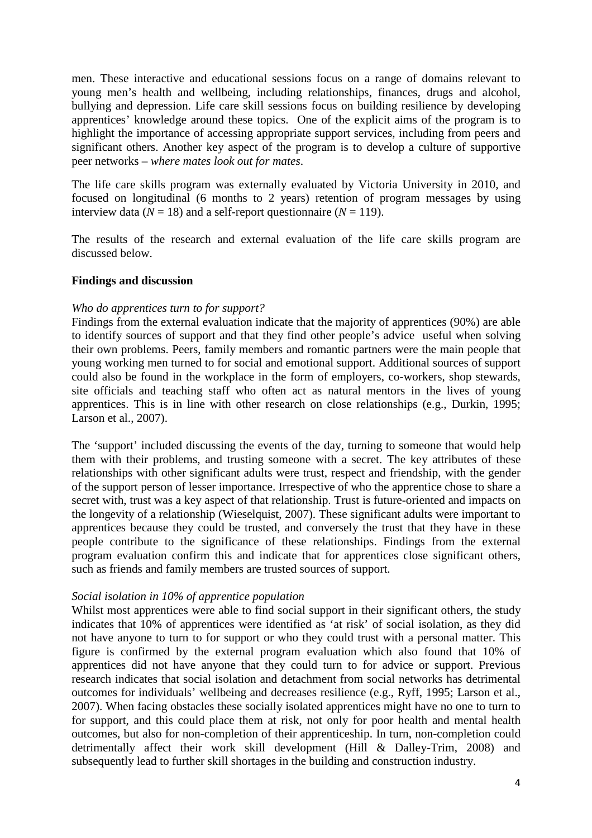men. These interactive and educational sessions focus on a range of domains relevant to young men's health and wellbeing, including relationships, finances, drugs and alcohol, bullying and depression. Life care skill sessions focus on building resilience by developing apprentices' knowledge around these topics. One of the explicit aims of the program is to highlight the importance of accessing appropriate support services, including from peers and significant others. Another key aspect of the program is to develop a culture of supportive peer networks – *where mates look out for mates*.

The life care skills program was externally evaluated by Victoria University in 2010, and focused on longitudinal (6 months to 2 years) retention of program messages by using interview data ( $N = 18$ ) and a self-report questionnaire ( $N = 119$ ).

The results of the research and external evaluation of the life care skills program are discussed below.

#### **Findings and discussion**

#### *Who do apprentices turn to for support?*

Findings from the external evaluation indicate that the majority of apprentices (90%) are able to identify sources of support and that they find other people's advice useful when solving their own problems. Peers, family members and romantic partners were the main people that young working men turned to for social and emotional support. Additional sources of support could also be found in the workplace in the form of employers, co-workers, shop stewards, site officials and teaching staff who often act as natural mentors in the lives of young apprentices. This is in line with other research on close relationships (e.g., Durkin, 1995; Larson et al., 2007).

The 'support' included discussing the events of the day, turning to someone that would help them with their problems, and trusting someone with a secret. The key attributes of these relationships with other significant adults were trust, respect and friendship, with the gender of the support person of lesser importance. Irrespective of who the apprentice chose to share a secret with, trust was a key aspect of that relationship. Trust is future-oriented and impacts on the longevity of a relationship (Wieselquist, 2007). These significant adults were important to apprentices because they could be trusted, and conversely the trust that they have in these people contribute to the significance of these relationships. Findings from the external program evaluation confirm this and indicate that for apprentices close significant others, such as friends and family members are trusted sources of support.

#### *Social isolation in 10% of apprentice population*

Whilst most apprentices were able to find social support in their significant others, the study indicates that 10% of apprentices were identified as 'at risk' of social isolation, as they did not have anyone to turn to for support or who they could trust with a personal matter. This figure is confirmed by the external program evaluation which also found that 10% of apprentices did not have anyone that they could turn to for advice or support. Previous research indicates that social isolation and detachment from social networks has detrimental outcomes for individuals' wellbeing and decreases resilience (e.g., Ryff, 1995; Larson et al., 2007). When facing obstacles these socially isolated apprentices might have no one to turn to for support, and this could place them at risk, not only for poor health and mental health outcomes, but also for non-completion of their apprenticeship. In turn, non-completion could detrimentally affect their work skill development (Hill & Dalley-Trim, 2008) and subsequently lead to further skill shortages in the building and construction industry.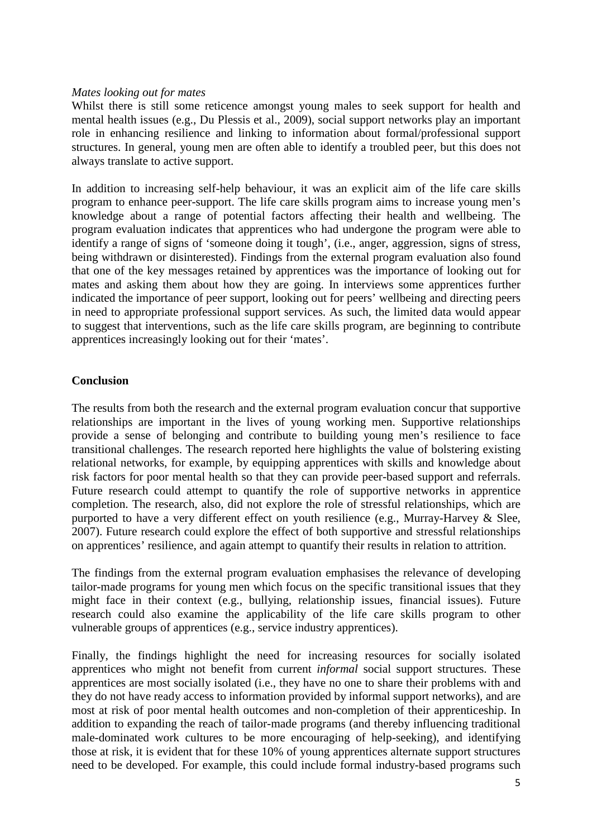### *Mates looking out for mates*

Whilst there is still some reticence amongst young males to seek support for health and mental health issues (e.g., Du Plessis et al., 2009), social support networks play an important role in enhancing resilience and linking to information about formal/professional support structures. In general, young men are often able to identify a troubled peer, but this does not always translate to active support.

In addition to increasing self-help behaviour, it was an explicit aim of the life care skills program to enhance peer-support. The life care skills program aims to increase young men's knowledge about a range of potential factors affecting their health and wellbeing. The program evaluation indicates that apprentices who had undergone the program were able to identify a range of signs of 'someone doing it tough', (i.e., anger, aggression, signs of stress, being withdrawn or disinterested). Findings from the external program evaluation also found that one of the key messages retained by apprentices was the importance of looking out for mates and asking them about how they are going. In interviews some apprentices further indicated the importance of peer support, looking out for peers' wellbeing and directing peers in need to appropriate professional support services. As such, the limited data would appear to suggest that interventions, such as the life care skills program, are beginning to contribute apprentices increasingly looking out for their 'mates'.

## **Conclusion**

The results from both the research and the external program evaluation concur that supportive relationships are important in the lives of young working men. Supportive relationships provide a sense of belonging and contribute to building young men's resilience to face transitional challenges. The research reported here highlights the value of bolstering existing relational networks, for example, by equipping apprentices with skills and knowledge about risk factors for poor mental health so that they can provide peer-based support and referrals. Future research could attempt to quantify the role of supportive networks in apprentice completion. The research, also, did not explore the role of stressful relationships, which are purported to have a very different effect on youth resilience (e.g., Murray-Harvey & Slee, 2007). Future research could explore the effect of both supportive and stressful relationships on apprentices' resilience, and again attempt to quantify their results in relation to attrition.

The findings from the external program evaluation emphasises the relevance of developing tailor-made programs for young men which focus on the specific transitional issues that they might face in their context (e.g., bullying, relationship issues, financial issues). Future research could also examine the applicability of the life care skills program to other vulnerable groups of apprentices (e.g., service industry apprentices).

Finally, the findings highlight the need for increasing resources for socially isolated apprentices who might not benefit from current *informal* social support structures. These apprentices are most socially isolated (i.e., they have no one to share their problems with and they do not have ready access to information provided by informal support networks), and are most at risk of poor mental health outcomes and non-completion of their apprenticeship. In addition to expanding the reach of tailor-made programs (and thereby influencing traditional male-dominated work cultures to be more encouraging of help-seeking), and identifying those at risk, it is evident that for these 10% of young apprentices alternate support structures need to be developed. For example, this could include formal industry-based programs such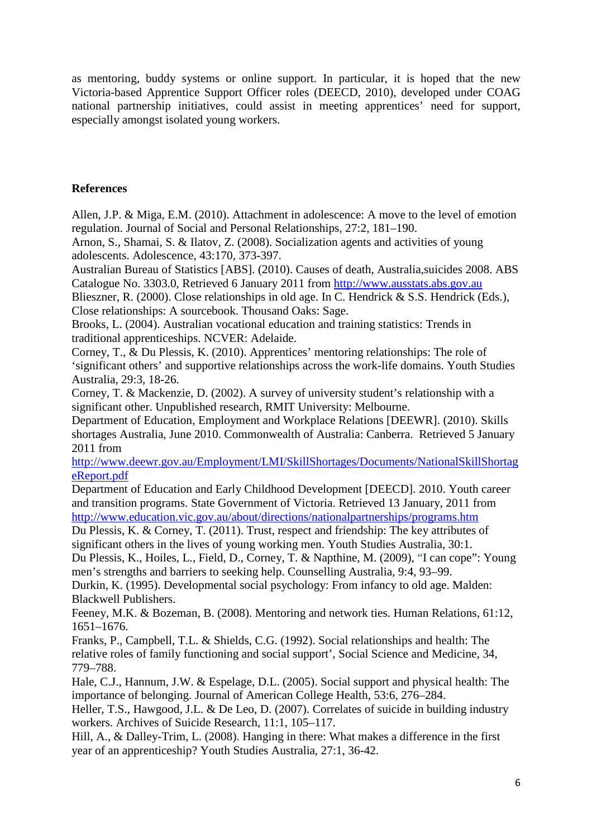as mentoring, buddy systems or online support. In particular, it is hoped that the new Victoria-based Apprentice Support Officer roles (DEECD, 2010), developed under COAG national partnership initiatives, could assist in meeting apprentices' need for support, especially amongst isolated young workers.

# **References**

Allen, J.P. & Miga, E.M. (2010). Attachment in adolescence: A move to the level of emotion regulation. Journal of Social and Personal Relationships, 27:2, 181–190.

Arnon, S., Shamai, S. & Ilatov, Z. (2008). Socialization agents and activities of young adolescents. Adolescence, 43:170, 373-397.

Australian Bureau of Statistics [ABS]. (2010). Causes of death, Australia,suicides 2008. ABS Catalogue No. 3303.0, Retrieved 6 January 2011 from http://www.ausstats.abs.gov.au

Blieszner, R. (2000). Close relationships in old age. In C. Hendrick & S.S. Hendrick (Eds.), Close relationships: A sourcebook. Thousand Oaks: Sage.

Brooks, L. (2004). Australian vocational education and training statistics: Trends in traditional apprenticeships. NCVER: Adelaide.

Corney, T., & Du Plessis, K. (2010). Apprentices' mentoring relationships: The role of 'significant others' and supportive relationships across the work-life domains. Youth Studies Australia, 29:3, 18-26.

Corney, T. & Mackenzie, D. (2002). A survey of university student's relationship with a significant other. Unpublished research, RMIT University: Melbourne.

Department of Education, Employment and Workplace Relations [DEEWR]. (2010). Skills shortages Australia, June 2010. Commonwealth of Australia: Canberra. Retrieved 5 January 2011 from

http://www.deewr.gov.au/Employment/LMI/SkillShortages/Documents/NationalSkillShortag eReport.pdf

Department of Education and Early Childhood Development [DEECD]. 2010. Youth career and transition programs. State Government of Victoria. Retrieved 13 January, 2011 from http://www.education.vic.gov.au/about/directions/nationalpartnerships/programs.htm

Du Plessis, K. & Corney, T. (2011). Trust, respect and friendship: The key attributes of significant others in the lives of young working men. Youth Studies Australia, 30:1.

Du Plessis, K., Hoiles, L., Field, D., Corney, T. & Napthine, M. (2009), "I can cope": Young men's strengths and barriers to seeking help. Counselling Australia, 9:4, 93–99.

Durkin, K. (1995). Developmental social psychology: From infancy to old age. Malden: Blackwell Publishers.

Feeney, M.K. & Bozeman, B. (2008). Mentoring and network ties. Human Relations, 61:12, 1651–1676.

Franks, P., Campbell, T.L. & Shields, C.G. (1992). Social relationships and health: The relative roles of family functioning and social support', Social Science and Medicine, 34, 779–788.

Hale, C.J., Hannum, J.W. & Espelage, D.L. (2005). Social support and physical health: The importance of belonging. Journal of American College Health, 53:6, 276–284.

Heller, T.S., Hawgood, J.L. & De Leo, D. (2007). Correlates of suicide in building industry workers. Archives of Suicide Research, 11:1, 105–117.

Hill, A., & Dalley-Trim, L. (2008). Hanging in there: What makes a difference in the first year of an apprenticeship? Youth Studies Australia, 27:1, 36-42.